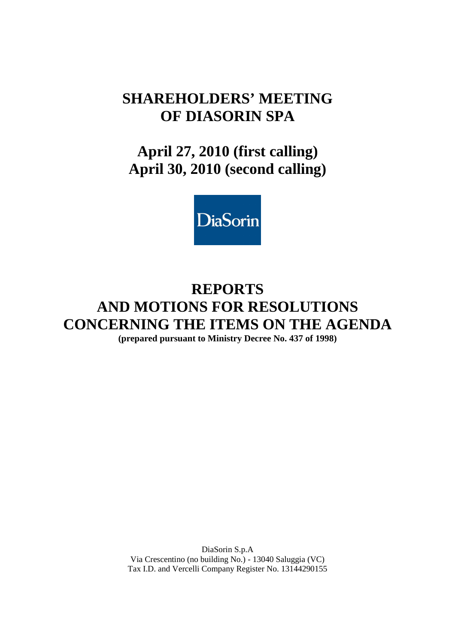# **SHAREHOLDERS' MEETING OF DIASORIN SPA**

# **April 27, 2010 (first calling) April 30, 2010 (second calling)**



# **REPORTS AND MOTIONS FOR RESOLUTIONS CONCERNING THE ITEMS ON THE AGENDA (prepared pursuant to Ministry Decree No. 437 of 1998)**

DiaSorin S.p.A Via Crescentino (no building No.) - 13040 Saluggia (VC) Tax I.D. and Vercelli Company Register No. 13144290155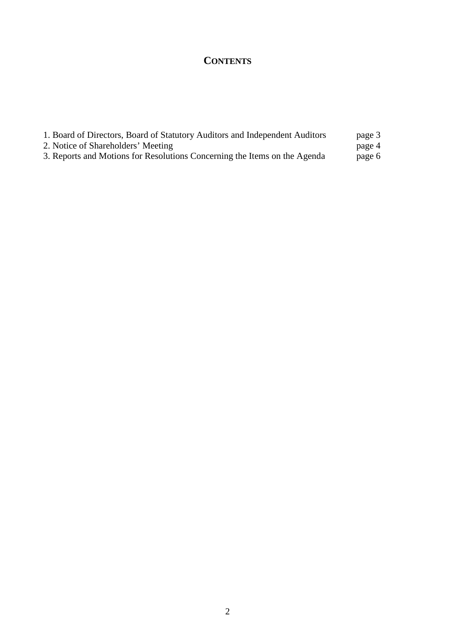# **CONTENTS**

| 1. Board of Directors, Board of Statutory Auditors and Independent Auditors | page 3 |
|-----------------------------------------------------------------------------|--------|
| 2. Notice of Shareholders' Meeting                                          | page 4 |
| 3. Reports and Motions for Resolutions Concerning the Items on the Agenda   | page 6 |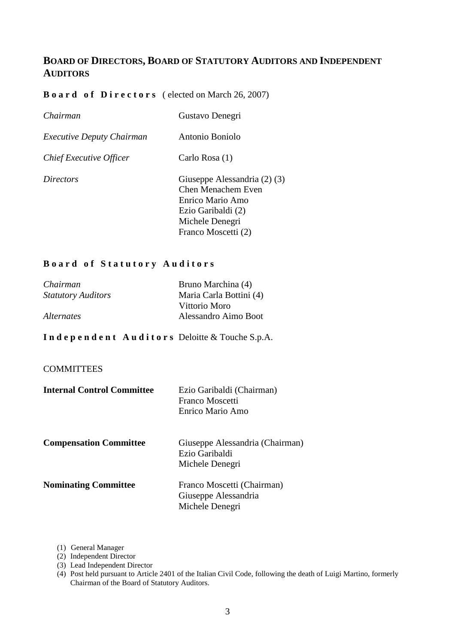# **BOARD OF DIRECTORS, BOARD OF STATUTORY AUDITORS AND INDEPENDENT AUDITORS**

# **Board of Directors** (elected on March 26, 2007)

| Chairman                         | Gustavo Denegri                                                                                                                        |
|----------------------------------|----------------------------------------------------------------------------------------------------------------------------------------|
| <i>Executive Deputy Chairman</i> | Antonio Boniolo                                                                                                                        |
| Chief Executive Officer          | Carlo Rosa (1)                                                                                                                         |
| <i>Directors</i>                 | Giuseppe Alessandria (2) (3)<br>Chen Menachem Even<br>Enrico Mario Amo<br>Ezio Garibaldi (2)<br>Michele Denegri<br>Franco Moscetti (2) |

# **B o a r d o f S t a t u t o r y A u d i t o r s**

| Chairman                  | Bruno Marchina (4)      |
|---------------------------|-------------------------|
| <b>Statutory Auditors</b> | Maria Carla Bottini (4) |
|                           | Vittorio Moro           |
| <i>Alternates</i>         | Alessandro Aimo Boot    |

# **I n d e p e n d e n t A u d i t o r s** Deloitte & Touche S.p.A.

# **COMMITTEES**

| <b>Internal Control Committee</b> | Ezio Garibaldi (Chairman)<br>Franco Moscetti<br>Enrico Mario Amo      |
|-----------------------------------|-----------------------------------------------------------------------|
| <b>Compensation Committee</b>     | Giuseppe Alessandria (Chairman)<br>Ezio Garibaldi<br>Michele Denegri  |
| <b>Nominating Committee</b>       | Franco Moscetti (Chairman)<br>Giuseppe Alessandria<br>Michele Denegri |

- (1) General Manager
- (2) Independent Director
- (3) Lead Independent Director
- (4) Post held pursuant to Article 2401 of the Italian Civil Code, following the death of Luigi Martino, formerly Chairman of the Board of Statutory Auditors.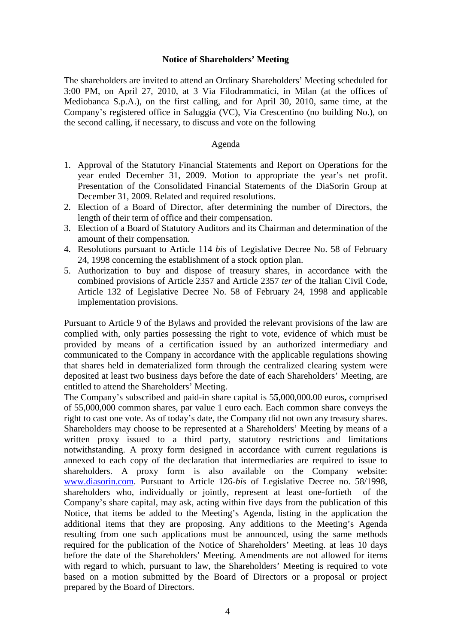# **Notice of Shareholders' Meeting**

The shareholders are invited to attend an Ordinary Shareholders' Meeting scheduled for 3:00 PM, on April 27, 2010, at 3 Via Filodrammatici, in Milan (at the offices of Mediobanca S.p.A.), on the first calling, and for April 30, 2010, same time, at the Company's registered office in Saluggia (VC), Via Crescentino (no building No.), on the second calling, if necessary, to discuss and vote on the following

#### Agenda

- 1. Approval of the Statutory Financial Statements and Report on Operations for the year ended December 31, 2009. Motion to appropriate the year's net profit. Presentation of the Consolidated Financial Statements of the DiaSorin Group at December 31, 2009. Related and required resolutions.
- 2. Election of a Board of Director, after determining the number of Directors, the length of their term of office and their compensation.
- 3. Election of a Board of Statutory Auditors and its Chairman and determination of the amount of their compensation.
- 4. Resolutions pursuant to Article 114 *bis* of Legislative Decree No. 58 of February 24, 1998 concerning the establishment of a stock option plan.
- 5. Authorization to buy and dispose of treasury shares, in accordance with the combined provisions of Article 2357 and Article 2357 *ter* of the Italian Civil Code, Article 132 of Legislative Decree No. 58 of February 24, 1998 and applicable implementation provisions.

Pursuant to Article 9 of the Bylaws and provided the relevant provisions of the law are complied with, only parties possessing the right to vote, evidence of which must be provided by means of a certification issued by an authorized intermediary and communicated to the Company in accordance with the applicable regulations showing that shares held in dematerialized form through the centralized clearing system were deposited at least two business days before the date of each Shareholders' Meeting, are entitled to attend the Shareholders' Meeting.

The Company's subscribed and paid-in share capital is 5**5**,000,000.00 euros**,** comprised of 55,000,000 common shares, par value 1 euro each. Each common share conveys the right to cast one vote. As of today's date, the Company did not own any treasury shares. Shareholders may choose to be represented at a Shareholders' Meeting by means of a written proxy issued to a third party, statutory restrictions and limitations notwithstanding. A proxy form designed in accordance with current regulations is annexed to each copy of the declaration that intermediaries are required to issue to shareholders. A proxy form is also available on the Company website: www.diasorin.com. Pursuant to Article 126-*bis* of Legislative Decree no. 58/1998, shareholders who, individually or jointly, represent at least one-fortieth of the Company's share capital, may ask, acting within five days from the publication of this Notice, that items be added to the Meeting's Agenda, listing in the application the additional items that they are proposing. Any additions to the Meeting's Agenda resulting from one such applications must be announced, using the same methods required for the publication of the Notice of Shareholders' Meeting. at leas 10 days before the date of the Shareholders' Meeting. Amendments are not allowed for items with regard to which, pursuant to law, the Shareholders' Meeting is required to vote based on a motion submitted by the Board of Directors or a proposal or project prepared by the Board of Directors.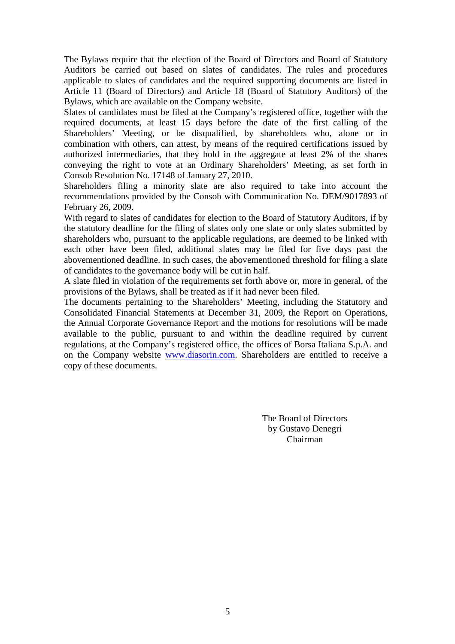The Bylaws require that the election of the Board of Directors and Board of Statutory Auditors be carried out based on slates of candidates. The rules and procedures applicable to slates of candidates and the required supporting documents are listed in Article 11 (Board of Directors) and Article 18 (Board of Statutory Auditors) of the Bylaws, which are available on the Company website.

Slates of candidates must be filed at the Company's registered office, together with the required documents, at least 15 days before the date of the first calling of the Shareholders' Meeting, or be disqualified, by shareholders who, alone or in combination with others, can attest, by means of the required certifications issued by authorized intermediaries, that they hold in the aggregate at least 2% of the shares conveying the right to vote at an Ordinary Shareholders' Meeting, as set forth in Consob Resolution No. 17148 of January 27, 2010.

Shareholders filing a minority slate are also required to take into account the recommendations provided by the Consob with Communication No. DEM/9017893 of February 26, 2009.

With regard to slates of candidates for election to the Board of Statutory Auditors, if by the statutory deadline for the filing of slates only one slate or only slates submitted by shareholders who, pursuant to the applicable regulations, are deemed to be linked with each other have been filed, additional slates may be filed for five days past the abovementioned deadline. In such cases, the abovementioned threshold for filing a slate of candidates to the governance body will be cut in half.

A slate filed in violation of the requirements set forth above or, more in general, of the provisions of the Bylaws, shall be treated as if it had never been filed.

The documents pertaining to the Shareholders' Meeting, including the Statutory and Consolidated Financial Statements at December 31, 2009, the Report on Operations, the Annual Corporate Governance Report and the motions for resolutions will be made available to the public, pursuant to and within the deadline required by current regulations, at the Company's registered office, the offices of Borsa Italiana S.p.A. and on the Company website www.diasorin.com. Shareholders are entitled to receive a copy of these documents.

> The Board of Directors by Gustavo Denegri Chairman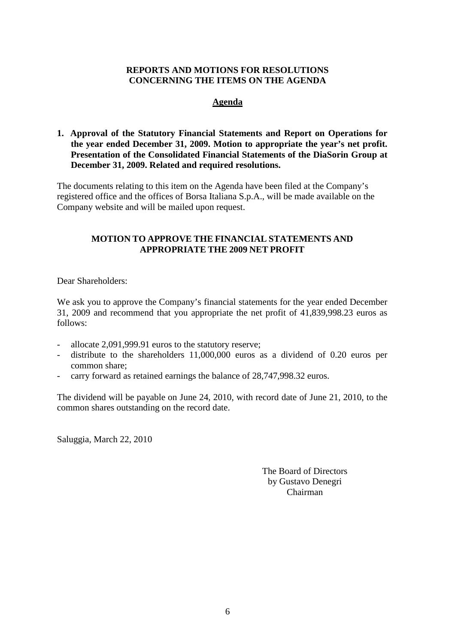# **REPORTS AND MOTIONS FOR RESOLUTIONS CONCERNING THE ITEMS ON THE AGENDA**

# **Agenda**

# **1. Approval of the Statutory Financial Statements and Report on Operations for the year ended December 31, 2009. Motion to appropriate the year's net profit. Presentation of the Consolidated Financial Statements of the DiaSorin Group at December 31, 2009. Related and required resolutions.**

The documents relating to this item on the Agenda have been filed at the Company's registered office and the offices of Borsa Italiana S.p.A., will be made available on the Company website and will be mailed upon request.

# **MOTION TO APPROVE THE FINANCIAL STATEMENTS AND APPROPRIATE THE 2009 NET PROFIT**

Dear Shareholders:

We ask you to approve the Company's financial statements for the year ended December 31, 2009 and recommend that you appropriate the net profit of 41,839,998.23 euros as follows:

- allocate 2,091,999.91 euros to the statutory reserve;
- distribute to the shareholders 11,000,000 euros as a dividend of 0.20 euros per common share;
- carry forward as retained earnings the balance of 28,747,998.32 euros.

The dividend will be payable on June 24, 2010, with record date of June 21, 2010, to the common shares outstanding on the record date.

Saluggia, March 22, 2010

The Board of Directors by Gustavo Denegri Chairman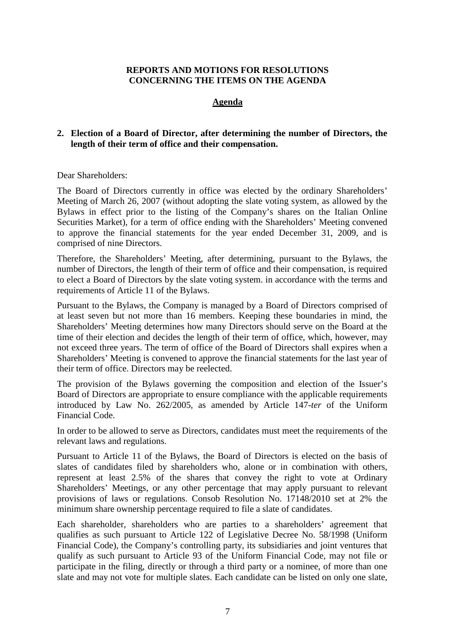# **REPORTS AND MOTIONS FOR RESOLUTIONS CONCERNING THE ITEMS ON THE AGENDA**

# **Agenda**

# **2. Election of a Board of Director, after determining the number of Directors, the length of their term of office and their compensation.**

# Dear Shareholders:

The Board of Directors currently in office was elected by the ordinary Shareholders' Meeting of March 26, 2007 (without adopting the slate voting system, as allowed by the Bylaws in effect prior to the listing of the Company's shares on the Italian Online Securities Market), for a term of office ending with the Shareholders' Meeting convened to approve the financial statements for the year ended December 31, 2009, and is comprised of nine Directors.

Therefore, the Shareholders' Meeting, after determining, pursuant to the Bylaws, the number of Directors, the length of their term of office and their compensation, is required to elect a Board of Directors by the slate voting system. in accordance with the terms and requirements of Article 11 of the Bylaws.

Pursuant to the Bylaws, the Company is managed by a Board of Directors comprised of at least seven but not more than 16 members. Keeping these boundaries in mind, the Shareholders' Meeting determines how many Directors should serve on the Board at the time of their election and decides the length of their term of office, which, however, may not exceed three years. The term of office of the Board of Directors shall expires when a Shareholders' Meeting is convened to approve the financial statements for the last year of their term of office. Directors may be reelected.

The provision of the Bylaws governing the composition and election of the Issuer's Board of Directors are appropriate to ensure compliance with the applicable requirements introduced by Law No. 262/2005, as amended by Article 147-*ter* of the Uniform Financial Code.

In order to be allowed to serve as Directors, candidates must meet the requirements of the relevant laws and regulations.

Pursuant to Article 11 of the Bylaws, the Board of Directors is elected on the basis of slates of candidates filed by shareholders who, alone or in combination with others, represent at least 2.5% of the shares that convey the right to vote at Ordinary Shareholders' Meetings, or any other percentage that may apply pursuant to relevant provisions of laws or regulations. Consob Resolution No. 17148/2010 set at 2% the minimum share ownership percentage required to file a slate of candidates.

Each shareholder, shareholders who are parties to a shareholders' agreement that qualifies as such pursuant to Article 122 of Legislative Decree No. 58/1998 (Uniform Financial Code), the Company's controlling party, its subsidiaries and joint ventures that qualify as such pursuant to Article 93 of the Uniform Financial Code, may not file or participate in the filing, directly or through a third party or a nominee, of more than one slate and may not vote for multiple slates. Each candidate can be listed on only one slate,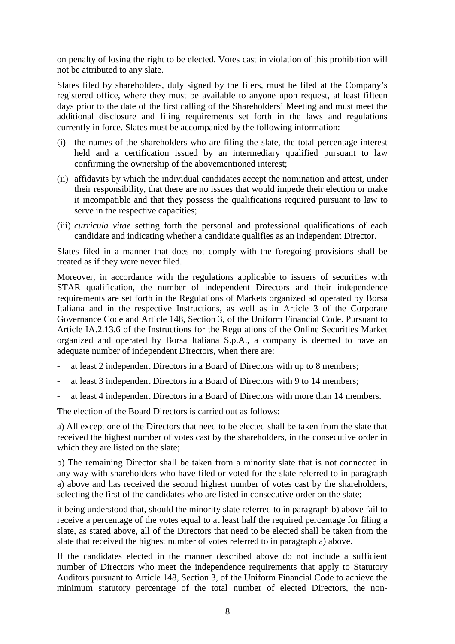on penalty of losing the right to be elected. Votes cast in violation of this prohibition will not be attributed to any slate.

Slates filed by shareholders, duly signed by the filers, must be filed at the Company's registered office, where they must be available to anyone upon request, at least fifteen days prior to the date of the first calling of the Shareholders' Meeting and must meet the additional disclosure and filing requirements set forth in the laws and regulations currently in force. Slates must be accompanied by the following information:

- (i) the names of the shareholders who are filing the slate, the total percentage interest held and a certification issued by an intermediary qualified pursuant to law confirming the ownership of the abovementioned interest;
- (ii) affidavits by which the individual candidates accept the nomination and attest, under their responsibility, that there are no issues that would impede their election or make it incompatible and that they possess the qualifications required pursuant to law to serve in the respective capacities;
- (iii) *curricula vitae* setting forth the personal and professional qualifications of each candidate and indicating whether a candidate qualifies as an independent Director.

Slates filed in a manner that does not comply with the foregoing provisions shall be treated as if they were never filed.

Moreover, in accordance with the regulations applicable to issuers of securities with STAR qualification, the number of independent Directors and their independence requirements are set forth in the Regulations of Markets organized ad operated by Borsa Italiana and in the respective Instructions, as well as in Article 3 of the Corporate Governance Code and Article 148, Section 3, of the Uniform Financial Code. Pursuant to Article IA.2.13.6 of the Instructions for the Regulations of the Online Securities Market organized and operated by Borsa Italiana S.p.A., a company is deemed to have an adequate number of independent Directors, when there are:

- at least 2 independent Directors in a Board of Directors with up to 8 members;
- at least 3 independent Directors in a Board of Directors with 9 to 14 members;
- at least 4 independent Directors in a Board of Directors with more than 14 members.

The election of the Board Directors is carried out as follows:

a) All except one of the Directors that need to be elected shall be taken from the slate that received the highest number of votes cast by the shareholders, in the consecutive order in which they are listed on the slate;

b) The remaining Director shall be taken from a minority slate that is not connected in any way with shareholders who have filed or voted for the slate referred to in paragraph a) above and has received the second highest number of votes cast by the shareholders, selecting the first of the candidates who are listed in consecutive order on the slate;

it being understood that, should the minority slate referred to in paragraph b) above fail to receive a percentage of the votes equal to at least half the required percentage for filing a slate, as stated above, all of the Directors that need to be elected shall be taken from the slate that received the highest number of votes referred to in paragraph a) above.

If the candidates elected in the manner described above do not include a sufficient number of Directors who meet the independence requirements that apply to Statutory Auditors pursuant to Article 148, Section 3, of the Uniform Financial Code to achieve the minimum statutory percentage of the total number of elected Directors, the non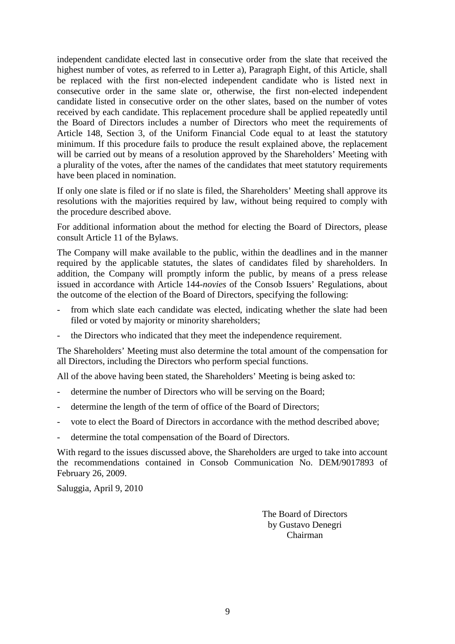independent candidate elected last in consecutive order from the slate that received the highest number of votes, as referred to in Letter a), Paragraph Eight, of this Article, shall be replaced with the first non-elected independent candidate who is listed next in consecutive order in the same slate or, otherwise, the first non-elected independent candidate listed in consecutive order on the other slates, based on the number of votes received by each candidate. This replacement procedure shall be applied repeatedly until the Board of Directors includes a number of Directors who meet the requirements of Article 148, Section 3, of the Uniform Financial Code equal to at least the statutory minimum. If this procedure fails to produce the result explained above, the replacement will be carried out by means of a resolution approved by the Shareholders' Meeting with a plurality of the votes, after the names of the candidates that meet statutory requirements have been placed in nomination.

If only one slate is filed or if no slate is filed, the Shareholders' Meeting shall approve its resolutions with the majorities required by law, without being required to comply with the procedure described above.

For additional information about the method for electing the Board of Directors, please consult Article 11 of the Bylaws.

The Company will make available to the public, within the deadlines and in the manner required by the applicable statutes, the slates of candidates filed by shareholders. In addition, the Company will promptly inform the public, by means of a press release issued in accordance with Article 144-*novies* of the Consob Issuers' Regulations, about the outcome of the election of the Board of Directors, specifying the following:

- from which slate each candidate was elected, indicating whether the slate had been filed or voted by majority or minority shareholders;
- the Directors who indicated that they meet the independence requirement.

The Shareholders' Meeting must also determine the total amount of the compensation for all Directors, including the Directors who perform special functions.

All of the above having been stated, the Shareholders' Meeting is being asked to:

- determine the number of Directors who will be serving on the Board;
- determine the length of the term of office of the Board of Directors;
- vote to elect the Board of Directors in accordance with the method described above;
- determine the total compensation of the Board of Directors.

With regard to the issues discussed above, the Shareholders are urged to take into account the recommendations contained in Consob Communication No. DEM/9017893 of February 26, 2009.

Saluggia, April 9, 2010

The Board of Directors by Gustavo Denegri Chairman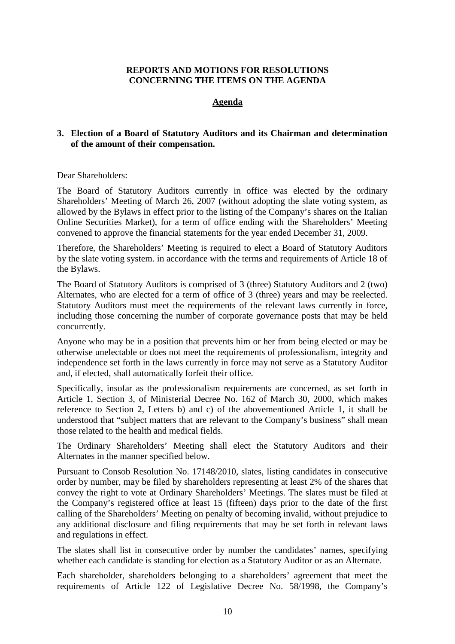# **REPORTS AND MOTIONS FOR RESOLUTIONS CONCERNING THE ITEMS ON THE AGENDA**

# **Agenda**

# **3. Election of a Board of Statutory Auditors and its Chairman and determination of the amount of their compensation.**

# Dear Shareholders:

The Board of Statutory Auditors currently in office was elected by the ordinary Shareholders' Meeting of March 26, 2007 (without adopting the slate voting system, as allowed by the Bylaws in effect prior to the listing of the Company's shares on the Italian Online Securities Market), for a term of office ending with the Shareholders' Meeting convened to approve the financial statements for the year ended December 31, 2009.

Therefore, the Shareholders' Meeting is required to elect a Board of Statutory Auditors by the slate voting system. in accordance with the terms and requirements of Article 18 of the Bylaws.

The Board of Statutory Auditors is comprised of 3 (three) Statutory Auditors and 2 (two) Alternates, who are elected for a term of office of 3 (three) years and may be reelected. Statutory Auditors must meet the requirements of the relevant laws currently in force, including those concerning the number of corporate governance posts that may be held concurrently.

Anyone who may be in a position that prevents him or her from being elected or may be otherwise unelectable or does not meet the requirements of professionalism, integrity and independence set forth in the laws currently in force may not serve as a Statutory Auditor and, if elected, shall automatically forfeit their office.

Specifically, insofar as the professionalism requirements are concerned, as set forth in Article 1, Section 3, of Ministerial Decree No. 162 of March 30, 2000, which makes reference to Section 2, Letters b) and c) of the abovementioned Article 1, it shall be understood that "subject matters that are relevant to the Company's business" shall mean those related to the health and medical fields.

The Ordinary Shareholders' Meeting shall elect the Statutory Auditors and their Alternates in the manner specified below.

Pursuant to Consob Resolution No. 17148/2010, slates, listing candidates in consecutive order by number, may be filed by shareholders representing at least 2% of the shares that convey the right to vote at Ordinary Shareholders' Meetings. The slates must be filed at the Company's registered office at least 15 (fifteen) days prior to the date of the first calling of the Shareholders' Meeting on penalty of becoming invalid, without prejudice to any additional disclosure and filing requirements that may be set forth in relevant laws and regulations in effect.

The slates shall list in consecutive order by number the candidates' names, specifying whether each candidate is standing for election as a Statutory Auditor or as an Alternate.

Each shareholder, shareholders belonging to a shareholders' agreement that meet the requirements of Article 122 of Legislative Decree No. 58/1998, the Company's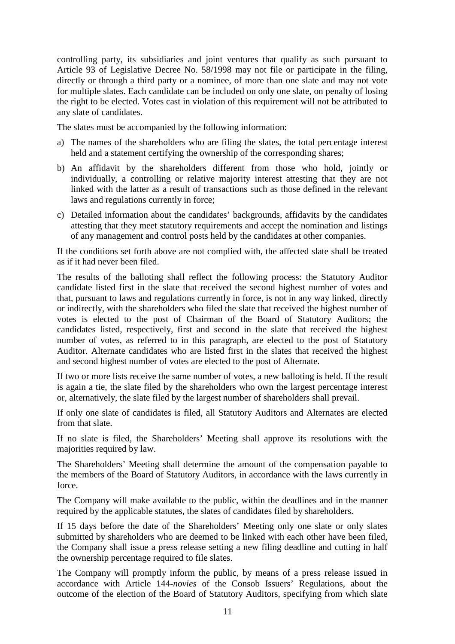controlling party, its subsidiaries and joint ventures that qualify as such pursuant to Article 93 of Legislative Decree No. 58/1998 may not file or participate in the filing, directly or through a third party or a nominee, of more than one slate and may not vote for multiple slates. Each candidate can be included on only one slate, on penalty of losing the right to be elected. Votes cast in violation of this requirement will not be attributed to any slate of candidates.

The slates must be accompanied by the following information:

- a) The names of the shareholders who are filing the slates, the total percentage interest held and a statement certifying the ownership of the corresponding shares;
- b) An affidavit by the shareholders different from those who hold, jointly or individually, a controlling or relative majority interest attesting that they are not linked with the latter as a result of transactions such as those defined in the relevant laws and regulations currently in force;
- c) Detailed information about the candidates' backgrounds, affidavits by the candidates attesting that they meet statutory requirements and accept the nomination and listings of any management and control posts held by the candidates at other companies.

If the conditions set forth above are not complied with, the affected slate shall be treated as if it had never been filed.

The results of the balloting shall reflect the following process: the Statutory Auditor candidate listed first in the slate that received the second highest number of votes and that, pursuant to laws and regulations currently in force, is not in any way linked, directly or indirectly, with the shareholders who filed the slate that received the highest number of votes is elected to the post of Chairman of the Board of Statutory Auditors; the candidates listed, respectively, first and second in the slate that received the highest number of votes, as referred to in this paragraph, are elected to the post of Statutory Auditor. Alternate candidates who are listed first in the slates that received the highest and second highest number of votes are elected to the post of Alternate.

If two or more lists receive the same number of votes, a new balloting is held. If the result is again a tie, the slate filed by the shareholders who own the largest percentage interest or, alternatively, the slate filed by the largest number of shareholders shall prevail.

If only one slate of candidates is filed, all Statutory Auditors and Alternates are elected from that slate.

If no slate is filed, the Shareholders' Meeting shall approve its resolutions with the majorities required by law.

The Shareholders' Meeting shall determine the amount of the compensation payable to the members of the Board of Statutory Auditors, in accordance with the laws currently in force.

The Company will make available to the public, within the deadlines and in the manner required by the applicable statutes, the slates of candidates filed by shareholders.

If 15 days before the date of the Shareholders' Meeting only one slate or only slates submitted by shareholders who are deemed to be linked with each other have been filed, the Company shall issue a press release setting a new filing deadline and cutting in half the ownership percentage required to file slates.

The Company will promptly inform the public, by means of a press release issued in accordance with Article 144-*novies* of the Consob Issuers' Regulations, about the outcome of the election of the Board of Statutory Auditors, specifying from which slate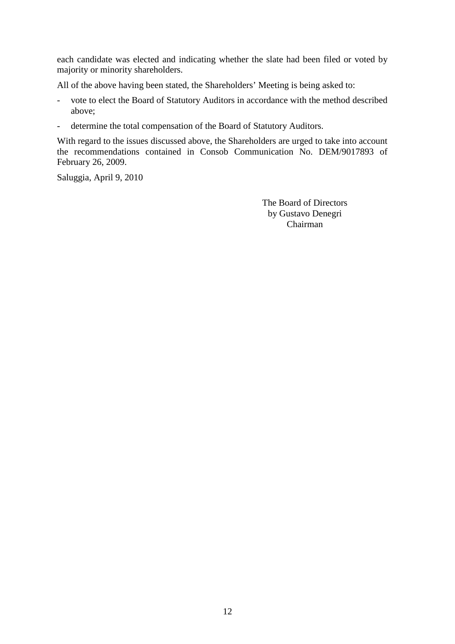each candidate was elected and indicating whether the slate had been filed or voted by majority or minority shareholders.

All of the above having been stated, the Shareholders' Meeting is being asked to:

- vote to elect the Board of Statutory Auditors in accordance with the method described above;
- determine the total compensation of the Board of Statutory Auditors.

With regard to the issues discussed above, the Shareholders are urged to take into account the recommendations contained in Consob Communication No. DEM/9017893 of February 26, 2009.

Saluggia, April 9, 2010

The Board of Directors by Gustavo Denegri Chairman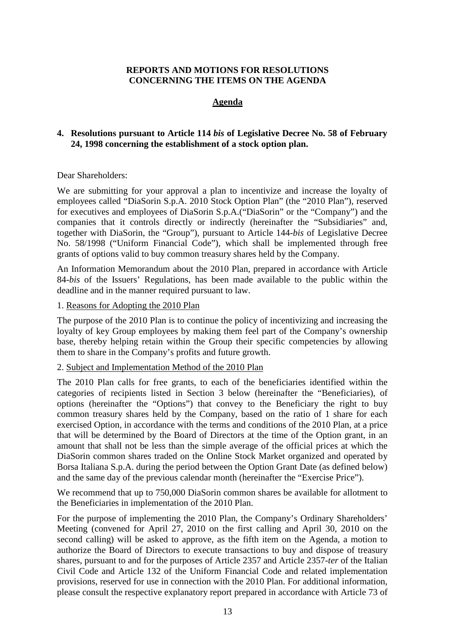# **REPORTS AND MOTIONS FOR RESOLUTIONS CONCERNING THE ITEMS ON THE AGENDA**

# **Agenda**

# **4. Resolutions pursuant to Article 114** *bis* **of Legislative Decree No. 58 of February 24, 1998 concerning the establishment of a stock option plan.**

# Dear Shareholders:

We are submitting for your approval a plan to incentivize and increase the loyalty of employees called "DiaSorin S.p.A. 2010 Stock Option Plan" (the "2010 Plan"), reserved for executives and employees of DiaSorin S.p.A.("DiaSorin" or the "Company") and the companies that it controls directly or indirectly (hereinafter the "Subsidiaries" and, together with DiaSorin, the "Group"), pursuant to Article 144-*bis* of Legislative Decree No. 58/1998 ("Uniform Financial Code"), which shall be implemented through free grants of options valid to buy common treasury shares held by the Company.

An Information Memorandum about the 2010 Plan, prepared in accordance with Article 84-*bis* of the Issuers' Regulations, has been made available to the public within the deadline and in the manner required pursuant to law.

# 1. Reasons for Adopting the 2010 Plan

The purpose of the 2010 Plan is to continue the policy of incentivizing and increasing the loyalty of key Group employees by making them feel part of the Company's ownership base, thereby helping retain within the Group their specific competencies by allowing them to share in the Company's profits and future growth.

# 2. Subject and Implementation Method of the 2010 Plan

The 2010 Plan calls for free grants, to each of the beneficiaries identified within the categories of recipients listed in Section 3 below (hereinafter the "Beneficiaries), of options (hereinafter the "Options") that convey to the Beneficiary the right to buy common treasury shares held by the Company, based on the ratio of 1 share for each exercised Option, in accordance with the terms and conditions of the 2010 Plan, at a price that will be determined by the Board of Directors at the time of the Option grant, in an amount that shall not be less than the simple average of the official prices at which the DiaSorin common shares traded on the Online Stock Market organized and operated by Borsa Italiana S.p.A. during the period between the Option Grant Date (as defined below) and the same day of the previous calendar month (hereinafter the "Exercise Price").

We recommend that up to 750,000 DiaSorin common shares be available for allotment to the Beneficiaries in implementation of the 2010 Plan.

For the purpose of implementing the 2010 Plan, the Company's Ordinary Shareholders' Meeting (convened for April 27, 2010 on the first calling and April 30, 2010 on the second calling) will be asked to approve, as the fifth item on the Agenda, a motion to authorize the Board of Directors to execute transactions to buy and dispose of treasury shares, pursuant to and for the purposes of Article 2357 and Article 2357-*ter* of the Italian Civil Code and Article 132 of the Uniform Financial Code and related implementation provisions, reserved for use in connection with the 2010 Plan. For additional information, please consult the respective explanatory report prepared in accordance with Article 73 of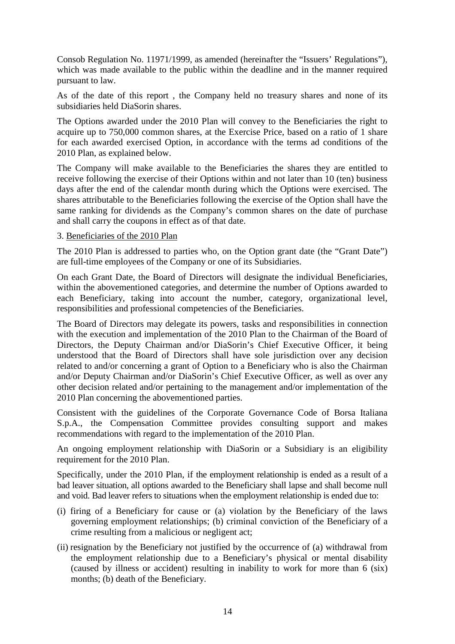Consob Regulation No. 11971/1999, as amended (hereinafter the "Issuers' Regulations"), which was made available to the public within the deadline and in the manner required pursuant to law.

As of the date of this report , the Company held no treasury shares and none of its subsidiaries held DiaSorin shares.

The Options awarded under the 2010 Plan will convey to the Beneficiaries the right to acquire up to 750,000 common shares, at the Exercise Price, based on a ratio of 1 share for each awarded exercised Option, in accordance with the terms ad conditions of the 2010 Plan, as explained below.

The Company will make available to the Beneficiaries the shares they are entitled to receive following the exercise of their Options within and not later than 10 (ten) business days after the end of the calendar month during which the Options were exercised. The shares attributable to the Beneficiaries following the exercise of the Option shall have the same ranking for dividends as the Company's common shares on the date of purchase and shall carry the coupons in effect as of that date.

# 3. Beneficiaries of the 2010 Plan

The 2010 Plan is addressed to parties who, on the Option grant date (the "Grant Date") are full-time employees of the Company or one of its Subsidiaries.

On each Grant Date, the Board of Directors will designate the individual Beneficiaries, within the abovementioned categories, and determine the number of Options awarded to each Beneficiary, taking into account the number, category, organizational level, responsibilities and professional competencies of the Beneficiaries.

The Board of Directors may delegate its powers, tasks and responsibilities in connection with the execution and implementation of the 2010 Plan to the Chairman of the Board of Directors, the Deputy Chairman and/or DiaSorin's Chief Executive Officer, it being understood that the Board of Directors shall have sole jurisdiction over any decision related to and/or concerning a grant of Option to a Beneficiary who is also the Chairman and/or Deputy Chairman and/or DiaSorin's Chief Executive Officer, as well as over any other decision related and/or pertaining to the management and/or implementation of the 2010 Plan concerning the abovementioned parties.

Consistent with the guidelines of the Corporate Governance Code of Borsa Italiana S.p.A., the Compensation Committee provides consulting support and makes recommendations with regard to the implementation of the 2010 Plan.

An ongoing employment relationship with DiaSorin or a Subsidiary is an eligibility requirement for the 2010 Plan.

Specifically, under the 2010 Plan, if the employment relationship is ended as a result of a bad leaver situation, all options awarded to the Beneficiary shall lapse and shall become null and void. Bad leaver refers to situations when the employment relationship is ended due to:

- (i) firing of a Beneficiary for cause or (a) violation by the Beneficiary of the laws governing employment relationships; (b) criminal conviction of the Beneficiary of a crime resulting from a malicious or negligent act;
- (ii) resignation by the Beneficiary not justified by the occurrence of (a) withdrawal from the employment relationship due to a Beneficiary's physical or mental disability (caused by illness or accident) resulting in inability to work for more than 6 (six) months; (b) death of the Beneficiary.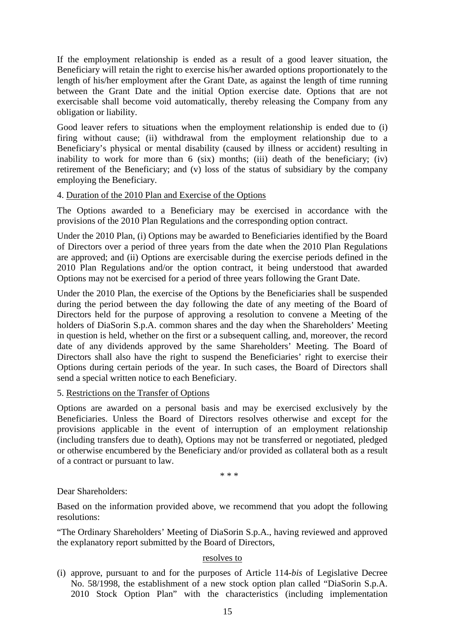If the employment relationship is ended as a result of a good leaver situation, the Beneficiary will retain the right to exercise his/her awarded options proportionately to the length of his/her employment after the Grant Date, as against the length of time running between the Grant Date and the initial Option exercise date. Options that are not exercisable shall become void automatically, thereby releasing the Company from any obligation or liability.

Good leaver refers to situations when the employment relationship is ended due to (i) firing without cause; (ii) withdrawal from the employment relationship due to a Beneficiary's physical or mental disability (caused by illness or accident) resulting in inability to work for more than  $6$  (six) months; (iii) death of the beneficiary; (iv) retirement of the Beneficiary; and (v) loss of the status of subsidiary by the company employing the Beneficiary.

# 4. Duration of the 2010 Plan and Exercise of the Options

The Options awarded to a Beneficiary may be exercised in accordance with the provisions of the 2010 Plan Regulations and the corresponding option contract.

Under the 2010 Plan, (i) Options may be awarded to Beneficiaries identified by the Board of Directors over a period of three years from the date when the 2010 Plan Regulations are approved; and (ii) Options are exercisable during the exercise periods defined in the 2010 Plan Regulations and/or the option contract, it being understood that awarded Options may not be exercised for a period of three years following the Grant Date.

Under the 2010 Plan, the exercise of the Options by the Beneficiaries shall be suspended during the period between the day following the date of any meeting of the Board of Directors held for the purpose of approving a resolution to convene a Meeting of the holders of DiaSorin S.p.A. common shares and the day when the Shareholders' Meeting in question is held, whether on the first or a subsequent calling, and, moreover, the record date of any dividends approved by the same Shareholders' Meeting. The Board of Directors shall also have the right to suspend the Beneficiaries' right to exercise their Options during certain periods of the year. In such cases, the Board of Directors shall send a special written notice to each Beneficiary.

# 5. Restrictions on the Transfer of Options

Options are awarded on a personal basis and may be exercised exclusively by the Beneficiaries. Unless the Board of Directors resolves otherwise and except for the provisions applicable in the event of interruption of an employment relationship (including transfers due to death), Options may not be transferred or negotiated, pledged or otherwise encumbered by the Beneficiary and/or provided as collateral both as a result of a contract or pursuant to law.

\* \* \*

#### Dear Shareholders:

Based on the information provided above, we recommend that you adopt the following resolutions:

"The Ordinary Shareholders' Meeting of DiaSorin S.p.A., having reviewed and approved the explanatory report submitted by the Board of Directors,

#### resolves to

(i) approve, pursuant to and for the purposes of Article 114-*bis* of Legislative Decree No. 58/1998, the establishment of a new stock option plan called "DiaSorin S.p.A. 2010 Stock Option Plan" with the characteristics (including implementation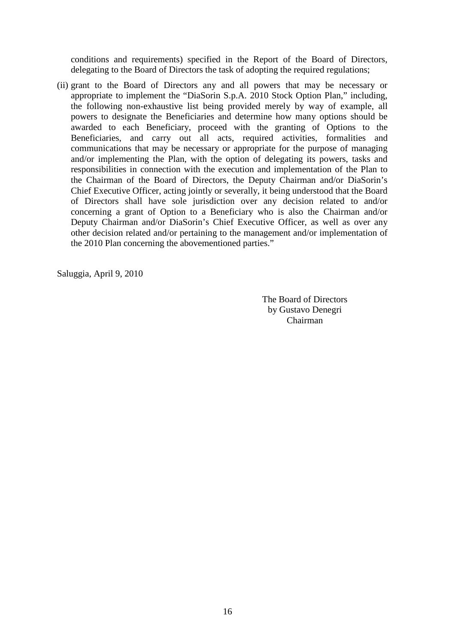conditions and requirements) specified in the Report of the Board of Directors, delegating to the Board of Directors the task of adopting the required regulations;

(ii) grant to the Board of Directors any and all powers that may be necessary or appropriate to implement the "DiaSorin S.p.A. 2010 Stock Option Plan," including, the following non-exhaustive list being provided merely by way of example, all powers to designate the Beneficiaries and determine how many options should be awarded to each Beneficiary, proceed with the granting of Options to the Beneficiaries, and carry out all acts, required activities, formalities and communications that may be necessary or appropriate for the purpose of managing and/or implementing the Plan, with the option of delegating its powers, tasks and responsibilities in connection with the execution and implementation of the Plan to the Chairman of the Board of Directors, the Deputy Chairman and/or DiaSorin's Chief Executive Officer, acting jointly or severally, it being understood that the Board of Directors shall have sole jurisdiction over any decision related to and/or concerning a grant of Option to a Beneficiary who is also the Chairman and/or Deputy Chairman and/or DiaSorin's Chief Executive Officer, as well as over any other decision related and/or pertaining to the management and/or implementation of the 2010 Plan concerning the abovementioned parties."

Saluggia, April 9, 2010

The Board of Directors by Gustavo Denegri Chairman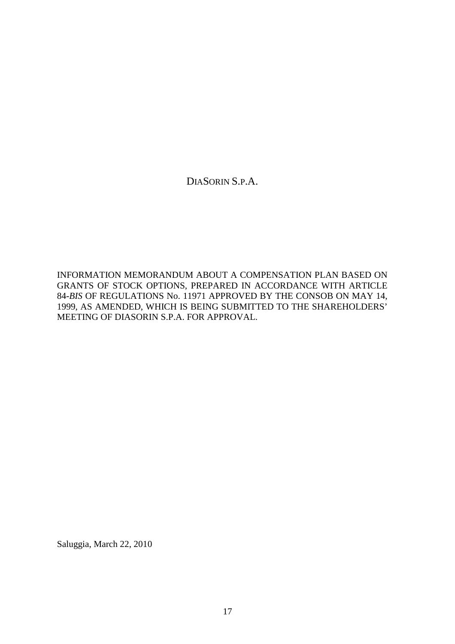DIASORIN S.P.A.

INFORMATION MEMORANDUM ABOUT A COMPENSATION PLAN BASED ON GRANTS OF STOCK OPTIONS, PREPARED IN ACCORDANCE WITH ARTICLE 84-*BIS* OF REGULATIONS No. 11971 APPROVED BY THE CONSOB ON MAY 14, 1999, AS AMENDED, WHICH IS BEING SUBMITTED TO THE SHAREHOLDERS' MEETING OF DIASORIN S.P.A. FOR APPROVAL.

Saluggia, March 22, 2010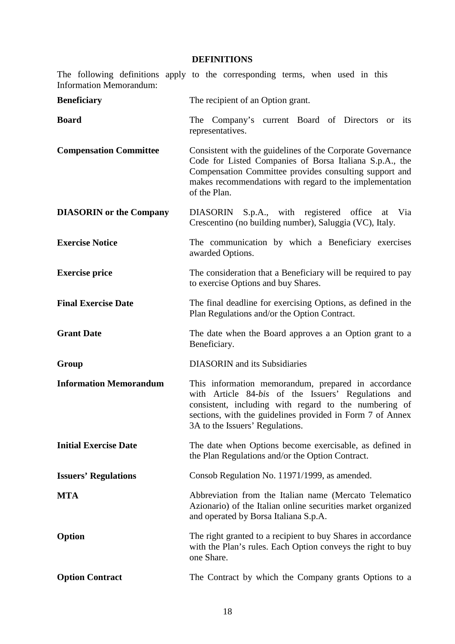# **DEFINITIONS**

| <b>Information Memorandum:</b> | The following definitions apply to the corresponding terms, when used in this                                                                                                                                                                                       |
|--------------------------------|---------------------------------------------------------------------------------------------------------------------------------------------------------------------------------------------------------------------------------------------------------------------|
| <b>Beneficiary</b>             | The recipient of an Option grant.                                                                                                                                                                                                                                   |
| <b>Board</b>                   | The Company's current Board of Directors<br>its<br><sub>or</sub><br>representatives.                                                                                                                                                                                |
| <b>Compensation Committee</b>  | Consistent with the guidelines of the Corporate Governance<br>Code for Listed Companies of Borsa Italiana S.p.A., the<br>Compensation Committee provides consulting support and<br>makes recommendations with regard to the implementation<br>of the Plan.          |
| <b>DIASORIN</b> or the Company | DIASORIN S.p.A., with registered office<br>at Via<br>Crescentino (no building number), Saluggia (VC), Italy.                                                                                                                                                        |
| <b>Exercise Notice</b>         | The communication by which a Beneficiary exercises<br>awarded Options.                                                                                                                                                                                              |
| <b>Exercise price</b>          | The consideration that a Beneficiary will be required to pay<br>to exercise Options and buy Shares.                                                                                                                                                                 |
| <b>Final Exercise Date</b>     | The final deadline for exercising Options, as defined in the<br>Plan Regulations and/or the Option Contract.                                                                                                                                                        |
| <b>Grant Date</b>              | The date when the Board approves a an Option grant to a<br>Beneficiary.                                                                                                                                                                                             |
| Group                          | <b>DIASORIN</b> and its Subsidiaries                                                                                                                                                                                                                                |
| <b>Information Memorandum</b>  | This information memorandum, prepared in accordance<br>with Article 84-bis of the Issuers' Regulations and<br>consistent, including with regard to the numbering of<br>sections, with the guidelines provided in Form 7 of Annex<br>3A to the Issuers' Regulations. |
| <b>Initial Exercise Date</b>   | The date when Options become exercisable, as defined in<br>the Plan Regulations and/or the Option Contract.                                                                                                                                                         |
| <b>Issuers' Regulations</b>    | Consob Regulation No. 11971/1999, as amended.                                                                                                                                                                                                                       |
| <b>MTA</b>                     | Abbreviation from the Italian name (Mercato Telematico<br>Azionario) of the Italian online securities market organized<br>and operated by Borsa Italiana S.p.A.                                                                                                     |
| Option                         | The right granted to a recipient to buy Shares in accordance<br>with the Plan's rules. Each Option conveys the right to buy<br>one Share.                                                                                                                           |
| <b>Option Contract</b>         | The Contract by which the Company grants Options to a                                                                                                                                                                                                               |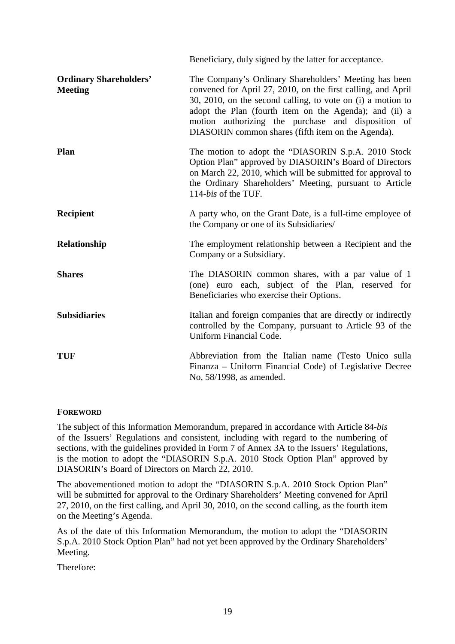|                                                 | Beneficiary, duly signed by the latter for acceptance.                                                                                                                                                                                                                                                                                                     |
|-------------------------------------------------|------------------------------------------------------------------------------------------------------------------------------------------------------------------------------------------------------------------------------------------------------------------------------------------------------------------------------------------------------------|
| <b>Ordinary Shareholders'</b><br><b>Meeting</b> | The Company's Ordinary Shareholders' Meeting has been<br>convened for April 27, 2010, on the first calling, and April<br>30, 2010, on the second calling, to vote on (i) a motion to<br>adopt the Plan (fourth item on the Agenda); and (ii) a<br>motion authorizing the purchase and disposition of<br>DIASORIN common shares (fifth item on the Agenda). |
| Plan                                            | The motion to adopt the "DIASORIN S.p.A. 2010 Stock<br>Option Plan" approved by DIASORIN's Board of Directors<br>on March 22, 2010, which will be submitted for approval to<br>the Ordinary Shareholders' Meeting, pursuant to Article<br>114-bis of the TUF.                                                                                              |
| <b>Recipient</b>                                | A party who, on the Grant Date, is a full-time employee of<br>the Company or one of its Subsidiaries/                                                                                                                                                                                                                                                      |
| Relationship                                    | The employment relationship between a Recipient and the<br>Company or a Subsidiary.                                                                                                                                                                                                                                                                        |
| <b>Shares</b>                                   | The DIASORIN common shares, with a par value of 1<br>(one) euro each, subject of the Plan, reserved for<br>Beneficiaries who exercise their Options.                                                                                                                                                                                                       |
| <b>Subsidiaries</b>                             | Italian and foreign companies that are directly or indirectly<br>controlled by the Company, pursuant to Article 93 of the<br>Uniform Financial Code.                                                                                                                                                                                                       |
| TUF                                             | Abbreviation from the Italian name (Testo Unico sulla<br>Finanza – Uniform Financial Code) of Legislative Decree<br>No, 58/1998, as amended.                                                                                                                                                                                                               |
|                                                 |                                                                                                                                                                                                                                                                                                                                                            |

# **FOREWORD**

The subject of this Information Memorandum, prepared in accordance with Article 84-*bis* of the Issuers' Regulations and consistent, including with regard to the numbering of sections, with the guidelines provided in Form 7 of Annex 3A to the Issuers' Regulations, is the motion to adopt the "DIASORIN S.p.A. 2010 Stock Option Plan" approved by DIASORIN's Board of Directors on March 22, 2010.

The abovementioned motion to adopt the "DIASORIN S.p.A. 2010 Stock Option Plan" will be submitted for approval to the Ordinary Shareholders' Meeting convened for April 27, 2010, on the first calling, and April 30, 2010, on the second calling, as the fourth item on the Meeting's Agenda.

As of the date of this Information Memorandum, the motion to adopt the "DIASORIN S.p.A. 2010 Stock Option Plan" had not yet been approved by the Ordinary Shareholders' Meeting.

Therefore: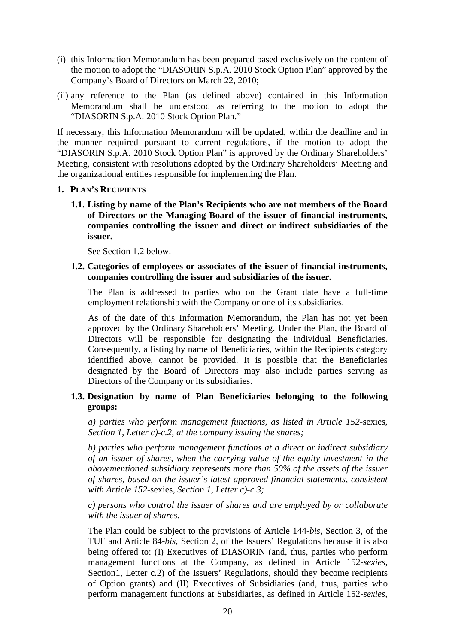- (i) this Information Memorandum has been prepared based exclusively on the content of the motion to adopt the "DIASORIN S.p.A. 2010 Stock Option Plan" approved by the Company's Board of Directors on March 22, 2010;
- (ii) any reference to the Plan (as defined above) contained in this Information Memorandum shall be understood as referring to the motion to adopt the "DIASORIN S.p.A. 2010 Stock Option Plan."

If necessary, this Information Memorandum will be updated, within the deadline and in the manner required pursuant to current regulations, if the motion to adopt the "DIASORIN S.p.A. 2010 Stock Option Plan" is approved by the Ordinary Shareholders' Meeting, consistent with resolutions adopted by the Ordinary Shareholders' Meeting and the organizational entities responsible for implementing the Plan.

#### **1. PLAN'S RECIPIENTS**

**1.1. Listing by name of the Plan's Recipients who are not members of the Board of Directors or the Managing Board of the issuer of financial instruments, companies controlling the issuer and direct or indirect subsidiaries of the issuer.**

See Section 1.2 below.

# **1.2. Categories of employees or associates of the issuer of financial instruments, companies controlling the issuer and subsidiaries of the issuer.**

The Plan is addressed to parties who on the Grant date have a full-time employment relationship with the Company or one of its subsidiaries.

As of the date of this Information Memorandum, the Plan has not yet been approved by the Ordinary Shareholders' Meeting. Under the Plan, the Board of Directors will be responsible for designating the individual Beneficiaries. Consequently, a listing by name of Beneficiaries, within the Recipients category identified above, cannot be provided. It is possible that the Beneficiaries designated by the Board of Directors may also include parties serving as Directors of the Company or its subsidiaries.

# **1.3. Designation by name of Plan Beneficiaries belonging to the following groups:**

*a) parties who perform management functions, as listed in Article 152-*sexies, *Section 1, Letter c)-c.2, at the company issuing the shares;* 

*b) parties who perform management functions at a direct or indirect subsidiary of an issuer of shares, when the carrying value of the equity investment in the abovementioned subsidiary represents more than 50% of the assets of the issuer of shares, based on the issuer's latest approved financial statements, consistent with Article 152-*sexies, *Section 1, Letter c)-c.3;* 

*c) persons who control the issuer of shares and are employed by or collaborate with the issuer of shares.* 

The Plan could be subject to the provisions of Article 144-*bis,* Section 3, of the TUF and Article 84-*bis,* Section 2, of the Issuers' Regulations because it is also being offered to: (I) Executives of DIASORIN (and, thus, parties who perform management functions at the Company, as defined in Article 152-*sexies,* Section1, Letter c.2) of the Issuers' Regulations, should they become recipients of Option grants) and (II) Executives of Subsidiaries (and, thus, parties who perform management functions at Subsidiaries, as defined in Article 152-*sexies,*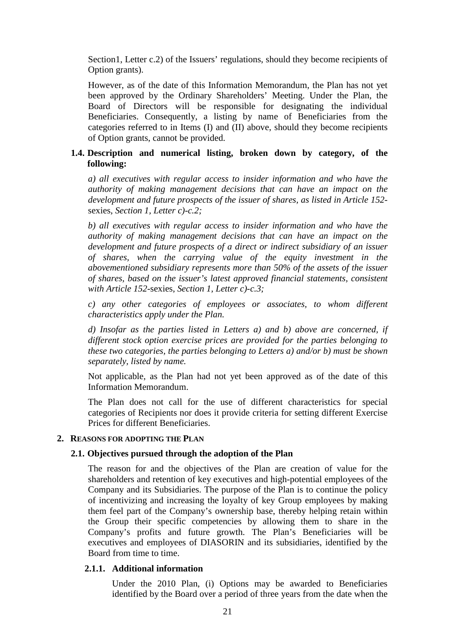Section1, Letter c.2) of the Issuers' regulations, should they become recipients of Option grants).

However, as of the date of this Information Memorandum, the Plan has not yet been approved by the Ordinary Shareholders' Meeting. Under the Plan, the Board of Directors will be responsible for designating the individual Beneficiaries. Consequently, a listing by name of Beneficiaries from the categories referred to in Items (I) and (II) above, should they become recipients of Option grants, cannot be provided.

# **1.4. Description and numerical listing, broken down by category, of the following:**

*a) all executives with regular access to insider information and who have the authority of making management decisions that can have an impact on the development and future prospects of the issuer of shares, as listed in Article 152* sexies, *Section 1, Letter c)-c.2;* 

*b) all executives with regular access to insider information and who have the authority of making management decisions that can have an impact on the development and future prospects of a direct or indirect subsidiary of an issuer of shares, when the carrying value of the equity investment in the abovementioned subsidiary represents more than 50% of the assets of the issuer of shares, based on the issuer's latest approved financial statements, consistent with Article 152-*sexies, *Section 1, Letter c)-c.3;* 

*c) any other categories of employees or associates, to whom different characteristics apply under the Plan.* 

*d) Insofar as the parties listed in Letters a) and b) above are concerned, if different stock option exercise prices are provided for the parties belonging to these two categories, the parties belonging to Letters a) and/or b) must be shown separately, listed by name.* 

Not applicable, as the Plan had not yet been approved as of the date of this Information Memorandum.

The Plan does not call for the use of different characteristics for special categories of Recipients nor does it provide criteria for setting different Exercise Prices for different Beneficiaries.

# **2. REASONS FOR ADOPTING THE PLAN**

#### **2.1. Objectives pursued through the adoption of the Plan**

The reason for and the objectives of the Plan are creation of value for the shareholders and retention of key executives and high-potential employees of the Company and its Subsidiaries. The purpose of the Plan is to continue the policy of incentivizing and increasing the loyalty of key Group employees by making them feel part of the Company's ownership base, thereby helping retain within the Group their specific competencies by allowing them to share in the Company's profits and future growth. The Plan's Beneficiaries will be executives and employees of DIASORIN and its subsidiaries, identified by the Board from time to time.

# **2.1.1. Additional information**

Under the 2010 Plan, (i) Options may be awarded to Beneficiaries identified by the Board over a period of three years from the date when the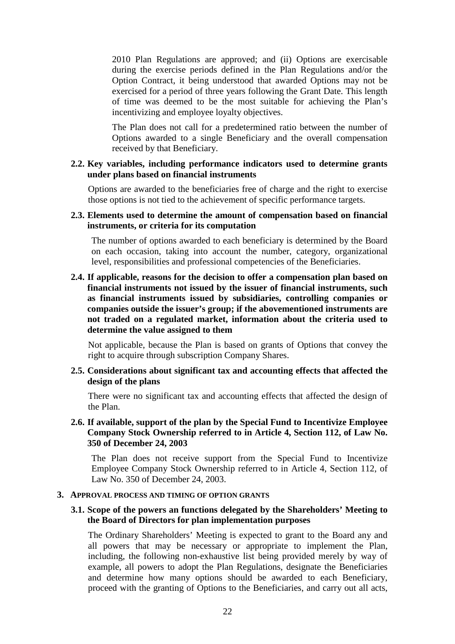2010 Plan Regulations are approved; and (ii) Options are exercisable during the exercise periods defined in the Plan Regulations and/or the Option Contract, it being understood that awarded Options may not be exercised for a period of three years following the Grant Date. This length of time was deemed to be the most suitable for achieving the Plan's incentivizing and employee loyalty objectives.

The Plan does not call for a predetermined ratio between the number of Options awarded to a single Beneficiary and the overall compensation received by that Beneficiary.

# **2.2. Key variables, including performance indicators used to determine grants under plans based on financial instruments**

Options are awarded to the beneficiaries free of charge and the right to exercise those options is not tied to the achievement of specific performance targets.

# **2.3. Elements used to determine the amount of compensation based on financial instruments, or criteria for its computation**

The number of options awarded to each beneficiary is determined by the Board on each occasion, taking into account the number, category, organizational level, responsibilities and professional competencies of the Beneficiaries.

# **2.4. If applicable, reasons for the decision to offer a compensation plan based on financial instruments not issued by the issuer of financial instruments, such as financial instruments issued by subsidiaries, controlling companies or companies outside the issuer's group; if the abovementioned instruments are not traded on a regulated market, information about the criteria used to determine the value assigned to them**

Not applicable, because the Plan is based on grants of Options that convey the right to acquire through subscription Company Shares.

#### **2.5. Considerations about significant tax and accounting effects that affected the design of the plans**

There were no significant tax and accounting effects that affected the design of the Plan.

# **2.6. If available, support of the plan by the Special Fund to Incentivize Employee Company Stock Ownership referred to in Article 4, Section 112, of Law No. 350 of December 24, 2003**

The Plan does not receive support from the Special Fund to Incentivize Employee Company Stock Ownership referred to in Article 4, Section 112, of Law No. 350 of December 24, 2003.

#### **3. APPROVAL PROCESS AND TIMING OF OPTION GRANTS**

# **3.1. Scope of the powers an functions delegated by the Shareholders' Meeting to the Board of Directors for plan implementation purposes**

The Ordinary Shareholders' Meeting is expected to grant to the Board any and all powers that may be necessary or appropriate to implement the Plan, including, the following non-exhaustive list being provided merely by way of example, all powers to adopt the Plan Regulations, designate the Beneficiaries and determine how many options should be awarded to each Beneficiary, proceed with the granting of Options to the Beneficiaries, and carry out all acts,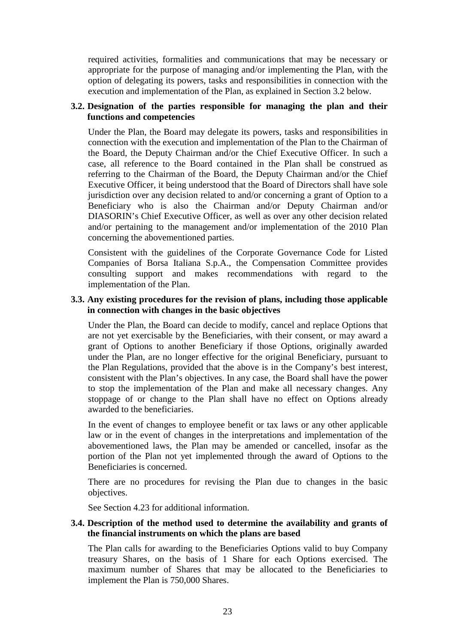required activities, formalities and communications that may be necessary or appropriate for the purpose of managing and/or implementing the Plan, with the option of delegating its powers, tasks and responsibilities in connection with the execution and implementation of the Plan, as explained in Section 3.2 below.

# **3.2. Designation of the parties responsible for managing the plan and their functions and competencies**

Under the Plan, the Board may delegate its powers, tasks and responsibilities in connection with the execution and implementation of the Plan to the Chairman of the Board, the Deputy Chairman and/or the Chief Executive Officer. In such a case, all reference to the Board contained in the Plan shall be construed as referring to the Chairman of the Board, the Deputy Chairman and/or the Chief Executive Officer, it being understood that the Board of Directors shall have sole jurisdiction over any decision related to and/or concerning a grant of Option to a Beneficiary who is also the Chairman and/or Deputy Chairman and/or DIASORIN's Chief Executive Officer, as well as over any other decision related and/or pertaining to the management and/or implementation of the 2010 Plan concerning the abovementioned parties.

Consistent with the guidelines of the Corporate Governance Code for Listed Companies of Borsa Italiana S.p.A., the Compensation Committee provides consulting support and makes recommendations with regard to the implementation of the Plan.

# **3.3. Any existing procedures for the revision of plans, including those applicable in connection with changes in the basic objectives**

Under the Plan, the Board can decide to modify, cancel and replace Options that are not yet exercisable by the Beneficiaries, with their consent, or may award a grant of Options to another Beneficiary if those Options, originally awarded under the Plan, are no longer effective for the original Beneficiary, pursuant to the Plan Regulations, provided that the above is in the Company's best interest, consistent with the Plan's objectives. In any case, the Board shall have the power to stop the implementation of the Plan and make all necessary changes. Any stoppage of or change to the Plan shall have no effect on Options already awarded to the beneficiaries.

In the event of changes to employee benefit or tax laws or any other applicable law or in the event of changes in the interpretations and implementation of the abovementioned laws, the Plan may be amended or cancelled, insofar as the portion of the Plan not yet implemented through the award of Options to the Beneficiaries is concerned.

There are no procedures for revising the Plan due to changes in the basic objectives.

See Section 4.23 for additional information.

# **3.4. Description of the method used to determine the availability and grants of the financial instruments on which the plans are based**

The Plan calls for awarding to the Beneficiaries Options valid to buy Company treasury Shares, on the basis of 1 Share for each Options exercised. The maximum number of Shares that may be allocated to the Beneficiaries to implement the Plan is 750,000 Shares.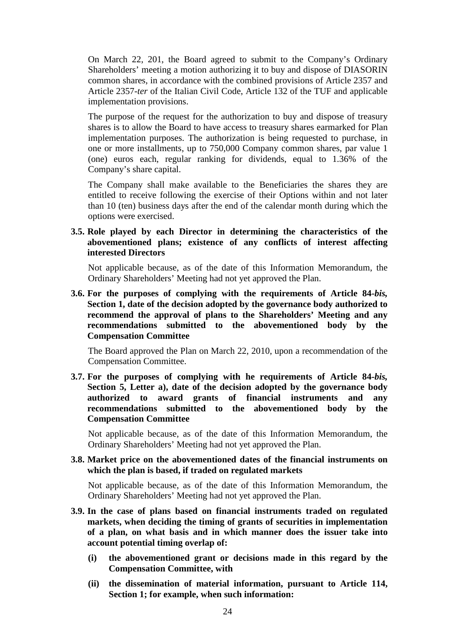On March 22, 201, the Board agreed to submit to the Company's Ordinary Shareholders' meeting a motion authorizing it to buy and dispose of DIASORIN common shares, in accordance with the combined provisions of Article 2357 and Article 2357-*ter* of the Italian Civil Code, Article 132 of the TUF and applicable implementation provisions.

The purpose of the request for the authorization to buy and dispose of treasury shares is to allow the Board to have access to treasury shares earmarked for Plan implementation purposes. The authorization is being requested to purchase, in one or more installments, up to 750,000 Company common shares, par value 1 (one) euros each, regular ranking for dividends, equal to 1.36% of the Company's share capital.

The Company shall make available to the Beneficiaries the shares they are entitled to receive following the exercise of their Options within and not later than 10 (ten) business days after the end of the calendar month during which the options were exercised.

# **3.5. Role played by each Director in determining the characteristics of the abovementioned plans; existence of any conflicts of interest affecting interested Directors**

Not applicable because, as of the date of this Information Memorandum, the Ordinary Shareholders' Meeting had not yet approved the Plan.

**3.6. For the purposes of complying with the requirements of Article 84-***bis,* **Section 1, date of the decision adopted by the governance body authorized to recommend the approval of plans to the Shareholders' Meeting and any recommendations submitted to the abovementioned body by the Compensation Committee** 

The Board approved the Plan on March 22, 2010, upon a recommendation of the Compensation Committee.

**3.7. For the purposes of complying with he requirements of Article 84-***bis,* **Section 5, Letter a), date of the decision adopted by the governance body authorized to award grants of financial instruments and any recommendations submitted to the abovementioned body by the Compensation Committee** 

Not applicable because, as of the date of this Information Memorandum, the Ordinary Shareholders' Meeting had not yet approved the Plan.

### **3.8. Market price on the abovementioned dates of the financial instruments on which the plan is based, if traded on regulated markets**

Not applicable because, as of the date of this Information Memorandum, the Ordinary Shareholders' Meeting had not yet approved the Plan.

- **3.9. In the case of plans based on financial instruments traded on regulated markets, when deciding the timing of grants of securities in implementation of a plan, on what basis and in which manner does the issuer take into account potential timing overlap of:** 
	- **(i) the abovementioned grant or decisions made in this regard by the Compensation Committee, with**
	- **(ii) the dissemination of material information, pursuant to Article 114, Section 1; for example, when such information:**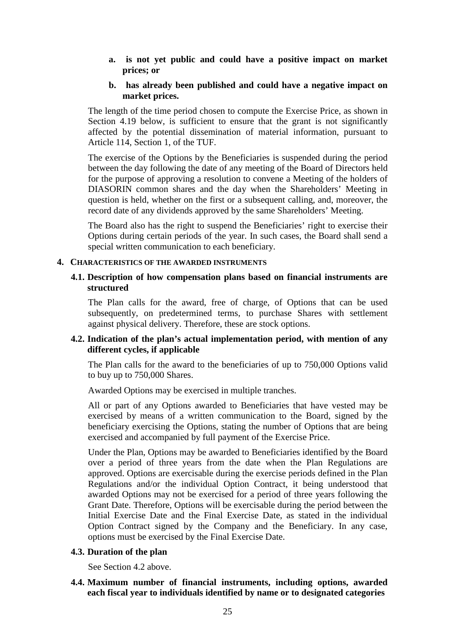**a. is not yet public and could have a positive impact on market prices; or** 

#### **b. has already been published and could have a negative impact on market prices.**

The length of the time period chosen to compute the Exercise Price, as shown in Section 4.19 below, is sufficient to ensure that the grant is not significantly affected by the potential dissemination of material information, pursuant to Article 114, Section 1, of the TUF.

The exercise of the Options by the Beneficiaries is suspended during the period between the day following the date of any meeting of the Board of Directors held for the purpose of approving a resolution to convene a Meeting of the holders of DIASORIN common shares and the day when the Shareholders' Meeting in question is held, whether on the first or a subsequent calling, and, moreover, the record date of any dividends approved by the same Shareholders' Meeting.

The Board also has the right to suspend the Beneficiaries' right to exercise their Options during certain periods of the year. In such cases, the Board shall send a special written communication to each beneficiary.

#### **4. CHARACTERISTICS OF THE AWARDED INSTRUMENTS**

# **4.1. Description of how compensation plans based on financial instruments are structured**

The Plan calls for the award, free of charge, of Options that can be used subsequently, on predetermined terms, to purchase Shares with settlement against physical delivery. Therefore, these are stock options.

# **4.2. Indication of the plan's actual implementation period, with mention of any different cycles, if applicable**

The Plan calls for the award to the beneficiaries of up to 750,000 Options valid to buy up to 750,000 Shares.

Awarded Options may be exercised in multiple tranches.

All or part of any Options awarded to Beneficiaries that have vested may be exercised by means of a written communication to the Board, signed by the beneficiary exercising the Options, stating the number of Options that are being exercised and accompanied by full payment of the Exercise Price.

Under the Plan, Options may be awarded to Beneficiaries identified by the Board over a period of three years from the date when the Plan Regulations are approved. Options are exercisable during the exercise periods defined in the Plan Regulations and/or the individual Option Contract, it being understood that awarded Options may not be exercised for a period of three years following the Grant Date. Therefore, Options will be exercisable during the period between the Initial Exercise Date and the Final Exercise Date, as stated in the individual Option Contract signed by the Company and the Beneficiary. In any case, options must be exercised by the Final Exercise Date.

#### **4.3. Duration of the plan**

See Section 4.2 above.

# **4.4. Maximum number of financial instruments, including options, awarded each fiscal year to individuals identified by name or to designated categories**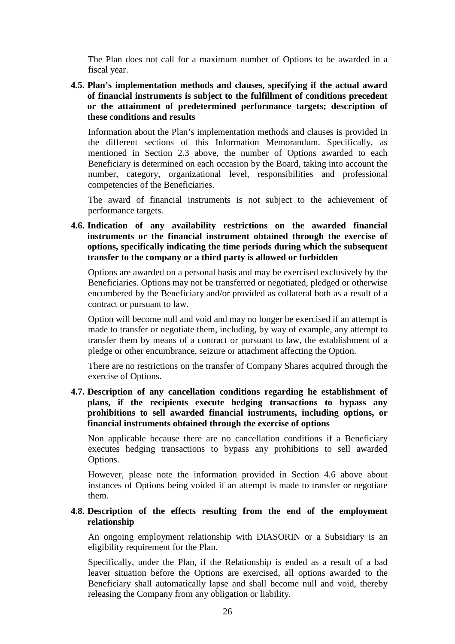The Plan does not call for a maximum number of Options to be awarded in a fiscal year.

**4.5. Plan's implementation methods and clauses, specifying if the actual award of financial instruments is subject to the fulfillment of conditions precedent or the attainment of predetermined performance targets; description of these conditions and results** 

Information about the Plan's implementation methods and clauses is provided in the different sections of this Information Memorandum. Specifically, as mentioned in Section 2.3 above, the number of Options awarded to each Beneficiary is determined on each occasion by the Board, taking into account the number, category, organizational level, responsibilities and professional competencies of the Beneficiaries.

The award of financial instruments is not subject to the achievement of performance targets.

**4.6. Indication of any availability restrictions on the awarded financial instruments or the financial instrument obtained through the exercise of options, specifically indicating the time periods during which the subsequent transfer to the company or a third party is allowed or forbidden** 

Options are awarded on a personal basis and may be exercised exclusively by the Beneficiaries. Options may not be transferred or negotiated, pledged or otherwise encumbered by the Beneficiary and/or provided as collateral both as a result of a contract or pursuant to law.

Option will become null and void and may no longer be exercised if an attempt is made to transfer or negotiate them, including, by way of example, any attempt to transfer them by means of a contract or pursuant to law, the establishment of a pledge or other encumbrance, seizure or attachment affecting the Option.

There are no restrictions on the transfer of Company Shares acquired through the exercise of Options.

**4.7. Description of any cancellation conditions regarding he establishment of plans, if the recipients execute hedging transactions to bypass any prohibitions to sell awarded financial instruments, including options, or financial instruments obtained through the exercise of options** 

Non applicable because there are no cancellation conditions if a Beneficiary executes hedging transactions to bypass any prohibitions to sell awarded Options.

However, please note the information provided in Section 4.6 above about instances of Options being voided if an attempt is made to transfer or negotiate them.

# **4.8. Description of the effects resulting from the end of the employment relationship**

An ongoing employment relationship with DIASORIN or a Subsidiary is an eligibility requirement for the Plan.

Specifically, under the Plan, if the Relationship is ended as a result of a bad leaver situation before the Options are exercised, all options awarded to the Beneficiary shall automatically lapse and shall become null and void, thereby releasing the Company from any obligation or liability.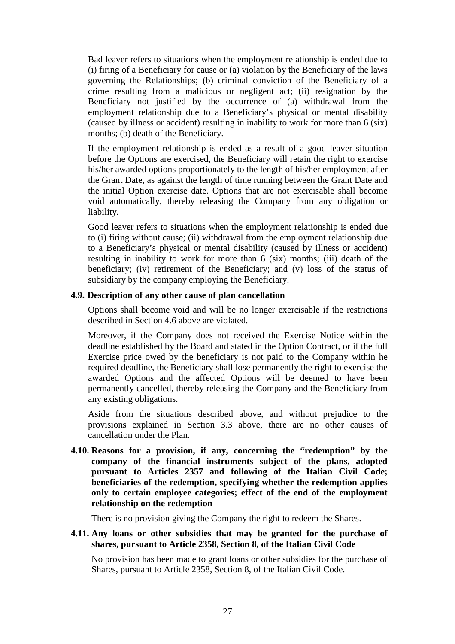Bad leaver refers to situations when the employment relationship is ended due to (i) firing of a Beneficiary for cause or (a) violation by the Beneficiary of the laws governing the Relationships; (b) criminal conviction of the Beneficiary of a crime resulting from a malicious or negligent act; (ii) resignation by the Beneficiary not justified by the occurrence of (a) withdrawal from the employment relationship due to a Beneficiary's physical or mental disability (caused by illness or accident) resulting in inability to work for more than 6 (six) months; (b) death of the Beneficiary.

If the employment relationship is ended as a result of a good leaver situation before the Options are exercised, the Beneficiary will retain the right to exercise his/her awarded options proportionately to the length of his/her employment after the Grant Date, as against the length of time running between the Grant Date and the initial Option exercise date. Options that are not exercisable shall become void automatically, thereby releasing the Company from any obligation or liability.

Good leaver refers to situations when the employment relationship is ended due to (i) firing without cause; (ii) withdrawal from the employment relationship due to a Beneficiary's physical or mental disability (caused by illness or accident) resulting in inability to work for more than 6 (six) months; (iii) death of the beneficiary; (iv) retirement of the Beneficiary; and (v) loss of the status of subsidiary by the company employing the Beneficiary.

# **4.9. Description of any other cause of plan cancellation**

Options shall become void and will be no longer exercisable if the restrictions described in Section 4.6 above are violated.

Moreover, if the Company does not received the Exercise Notice within the deadline established by the Board and stated in the Option Contract, or if the full Exercise price owed by the beneficiary is not paid to the Company within he required deadline, the Beneficiary shall lose permanently the right to exercise the awarded Options and the affected Options will be deemed to have been permanently cancelled, thereby releasing the Company and the Beneficiary from any existing obligations.

Aside from the situations described above, and without prejudice to the provisions explained in Section 3.3 above, there are no other causes of cancellation under the Plan.

**4.10. Reasons for a provision, if any, concerning the "redemption" by the company of the financial instruments subject of the plans, adopted pursuant to Articles 2357 and following of the Italian Civil Code; beneficiaries of the redemption, specifying whether the redemption applies only to certain employee categories; effect of the end of the employment relationship on the redemption** 

There is no provision giving the Company the right to redeem the Shares.

# **4.11. Any loans or other subsidies that may be granted for the purchase of shares, pursuant to Article 2358, Section 8, of the Italian Civil Code**

No provision has been made to grant loans or other subsidies for the purchase of Shares, pursuant to Article 2358, Section 8, of the Italian Civil Code.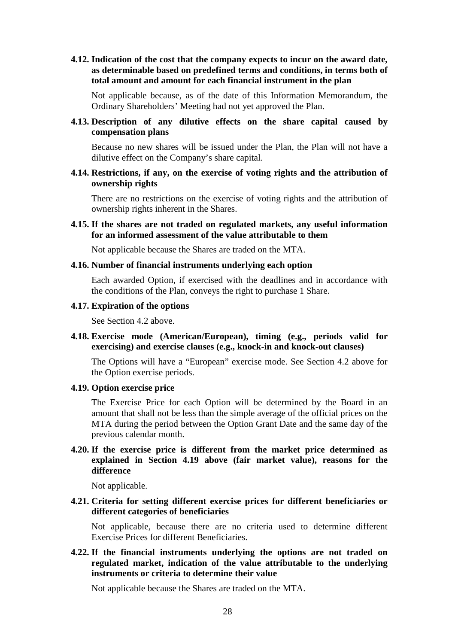**4.12. Indication of the cost that the company expects to incur on the award date, as determinable based on predefined terms and conditions, in terms both of total amount and amount for each financial instrument in the plan** 

Not applicable because, as of the date of this Information Memorandum, the Ordinary Shareholders' Meeting had not yet approved the Plan.

**4.13. Description of any dilutive effects on the share capital caused by compensation plans** 

Because no new shares will be issued under the Plan, the Plan will not have a dilutive effect on the Company's share capital.

**4.14. Restrictions, if any, on the exercise of voting rights and the attribution of ownership rights** 

There are no restrictions on the exercise of voting rights and the attribution of ownership rights inherent in the Shares.

**4.15. If the shares are not traded on regulated markets, any useful information for an informed assessment of the value attributable to them** 

Not applicable because the Shares are traded on the MTA.

#### **4.16. Number of financial instruments underlying each option**

Each awarded Option, if exercised with the deadlines and in accordance with the conditions of the Plan, conveys the right to purchase 1 Share.

#### **4.17. Expiration of the options**

See Section 4.2 above.

**4.18. Exercise mode (American/European), timing (e.g., periods valid for exercising) and exercise clauses (e.g., knock-in and knock-out clauses)** 

The Options will have a "European" exercise mode. See Section 4.2 above for the Option exercise periods.

#### **4.19. Option exercise price**

The Exercise Price for each Option will be determined by the Board in an amount that shall not be less than the simple average of the official prices on the MTA during the period between the Option Grant Date and the same day of the previous calendar month.

# **4.20. If the exercise price is different from the market price determined as explained in Section 4.19 above (fair market value), reasons for the difference**

Not applicable.

**4.21. Criteria for setting different exercise prices for different beneficiaries or different categories of beneficiaries** 

Not applicable, because there are no criteria used to determine different Exercise Prices for different Beneficiaries.

**4.22. If the financial instruments underlying the options are not traded on regulated market, indication of the value attributable to the underlying instruments or criteria to determine their value** 

Not applicable because the Shares are traded on the MTA.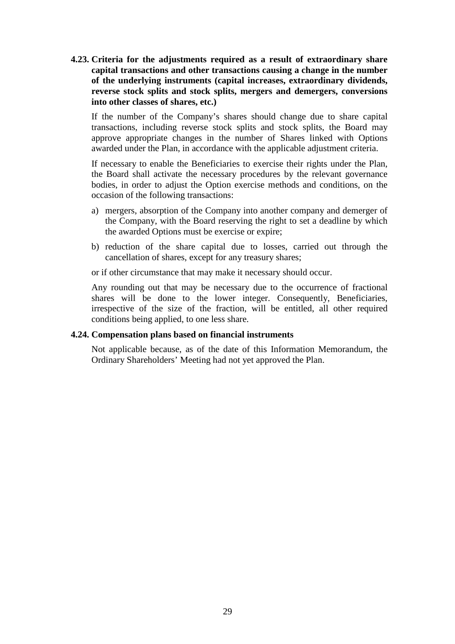**4.23. Criteria for the adjustments required as a result of extraordinary share capital transactions and other transactions causing a change in the number of the underlying instruments (capital increases, extraordinary dividends, reverse stock splits and stock splits, mergers and demergers, conversions into other classes of shares, etc.)** 

If the number of the Company's shares should change due to share capital transactions, including reverse stock splits and stock splits, the Board may approve appropriate changes in the number of Shares linked with Options awarded under the Plan, in accordance with the applicable adjustment criteria.

If necessary to enable the Beneficiaries to exercise their rights under the Plan, the Board shall activate the necessary procedures by the relevant governance bodies, in order to adjust the Option exercise methods and conditions, on the occasion of the following transactions:

- a) mergers, absorption of the Company into another company and demerger of the Company, with the Board reserving the right to set a deadline by which the awarded Options must be exercise or expire;
- b) reduction of the share capital due to losses, carried out through the cancellation of shares, except for any treasury shares;

or if other circumstance that may make it necessary should occur.

Any rounding out that may be necessary due to the occurrence of fractional shares will be done to the lower integer. Consequently, Beneficiaries, irrespective of the size of the fraction, will be entitled, all other required conditions being applied, to one less share.

# **4.24. Compensation plans based on financial instruments**

Not applicable because, as of the date of this Information Memorandum, the Ordinary Shareholders' Meeting had not yet approved the Plan.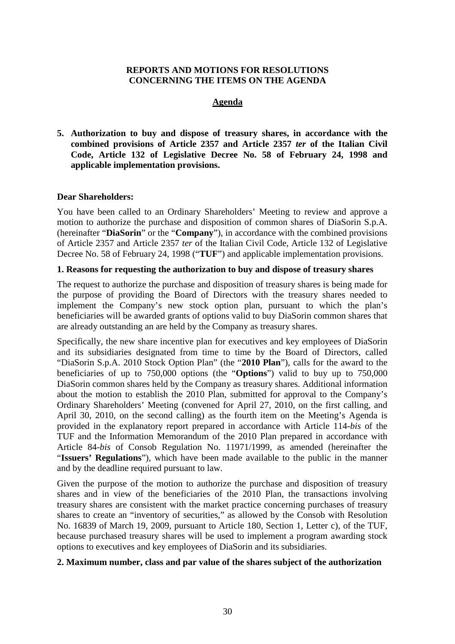# **REPORTS AND MOTIONS FOR RESOLUTIONS CONCERNING THE ITEMS ON THE AGENDA**

# **Agenda**

**5. Authorization to buy and dispose of treasury shares, in accordance with the combined provisions of Article 2357 and Article 2357** *ter* **of the Italian Civil Code, Article 132 of Legislative Decree No. 58 of February 24, 1998 and applicable implementation provisions.** 

# **Dear Shareholders:**

You have been called to an Ordinary Shareholders' Meeting to review and approve a motion to authorize the purchase and disposition of common shares of DiaSorin S.p.A. (hereinafter "**DiaSorin**" or the "**Company**"), in accordance with the combined provisions of Article 2357 and Article 2357 *ter* of the Italian Civil Code, Article 132 of Legislative Decree No. 58 of February 24, 1998 ("**TUF**") and applicable implementation provisions.

# **1. Reasons for requesting the authorization to buy and dispose of treasury shares**

The request to authorize the purchase and disposition of treasury shares is being made for the purpose of providing the Board of Directors with the treasury shares needed to implement the Company's new stock option plan, pursuant to which the plan's beneficiaries will be awarded grants of options valid to buy DiaSorin common shares that are already outstanding an are held by the Company as treasury shares.

Specifically, the new share incentive plan for executives and key employees of DiaSorin and its subsidiaries designated from time to time by the Board of Directors, called "DiaSorin S.p.A. 2010 Stock Option Plan" (the "**2010 Plan**"), calls for the award to the beneficiaries of up to 750,000 options (the "**Options**") valid to buy up to 750,000 DiaSorin common shares held by the Company as treasury shares. Additional information about the motion to establish the 2010 Plan, submitted for approval to the Company's Ordinary Shareholders' Meeting (convened for April 27, 2010, on the first calling, and April 30, 2010, on the second calling) as the fourth item on the Meeting's Agenda is provided in the explanatory report prepared in accordance with Article 114-*bis* of the TUF and the Information Memorandum of the 2010 Plan prepared in accordance with Article 84-*bis* of Consob Regulation No. 11971/1999, as amended (hereinafter the "**Issuers' Regulations**"), which have been made available to the public in the manner and by the deadline required pursuant to law.

Given the purpose of the motion to authorize the purchase and disposition of treasury shares and in view of the beneficiaries of the 2010 Plan, the transactions involving treasury shares are consistent with the market practice concerning purchases of treasury shares to create an "inventory of securities," as allowed by the Consob with Resolution No. 16839 of March 19, 2009, pursuant to Article 180, Section 1, Letter c), of the TUF, because purchased treasury shares will be used to implement a program awarding stock options to executives and key employees of DiaSorin and its subsidiaries.

# **2. Maximum number, class and par value of the shares subject of the authorization**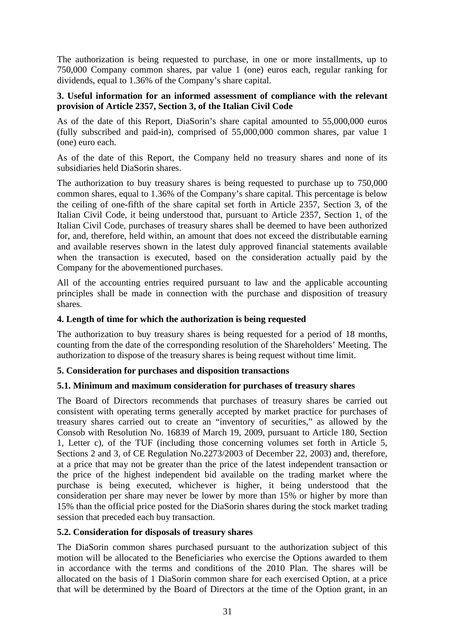The authorization is being requested to purchase, in one or more installments, up to 750,000 Company common shares, par value 1 (one) euros each, regular ranking for dividends, equal to 1.36% of the Company's share capital.

# **3. Useful information for an informed assessment of compliance with the relevant provision of Article 2357, Section 3, of the Italian Civil Code**

As of the date of this Report, DiaSorin's share capital amounted to 55,000,000 euros (fully subscribed and paid-in), comprised of 55,000,000 common shares, par value 1 (one) euro each.

As of the date of this Report, the Company held no treasury shares and none of its subsidiaries held DiaSorin shares.

The authorization to buy treasury shares is being requested to purchase up to 750,000 common shares, equal to 1.36% of the Company's share capital. This percentage is below the ceiling of one-fifth of the share capital set forth in Article 2357, Section 3, of the Italian Civil Code, it being understood that, pursuant to Article 2357, Section 1, of the Italian Civil Code, purchases of treasury shares shall be deemed to have been authorized for, and, therefore, held within, an amount that does not exceed the distributable earning and available reserves shown in the latest duly approved financial statements available when the transaction is executed, based on the consideration actually paid by the Company for the abovementioned purchases.

All of the accounting entries required pursuant to law and the applicable accounting principles shall be made in connection with the purchase and disposition of treasury shares.

# **4. Length of time for which the authorization is being requested**

The authorization to buy treasury shares is being requested for a period of 18 months, counting from the date of the corresponding resolution of the Shareholders' Meeting. The authorization to dispose of the treasury shares is being request without time limit.

# **5. Consideration for purchases and disposition transactions**

# **5.1. Minimum and maximum consideration for purchases of treasury shares**

The Board of Directors recommends that purchases of treasury shares be carried out consistent with operating terms generally accepted by market practice for purchases of treasury shares carried out to create an "inventory of securities," as allowed by the Consob with Resolution No. 16839 of March 19, 2009, pursuant to Article 180, Section 1, Letter c), of the TUF (including those concerning volumes set forth in Article 5, Sections 2 and 3, of CE Regulation No.2273/2003 of December 22, 2003) and, therefore, at a price that may not be greater than the price of the latest independent transaction or the price of the highest independent bid available on the trading market where the purchase is being executed, whichever is higher, it being understood that the consideration per share may never be lower by more than 15% or higher by more than 15% than the official price posted for the DiaSorin shares during the stock market trading session that preceded each buy transaction.

# **5.2. Consideration for disposals of treasury shares**

The DiaSorin common shares purchased pursuant to the authorization subject of this motion will be allocated to the Beneficiaries who exercise the Options awarded to them in accordance with the terms and conditions of the 2010 Plan. The shares will be allocated on the basis of 1 DiaSorin common share for each exercised Option, at a price that will be determined by the Board of Directors at the time of the Option grant, in an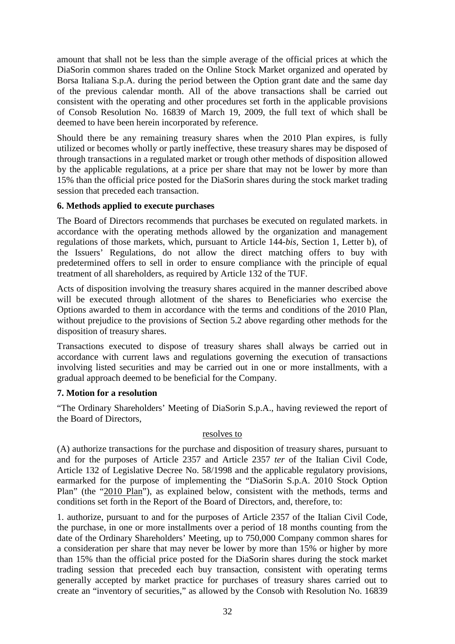amount that shall not be less than the simple average of the official prices at which the DiaSorin common shares traded on the Online Stock Market organized and operated by Borsa Italiana S.p.A. during the period between the Option grant date and the same day of the previous calendar month. All of the above transactions shall be carried out consistent with the operating and other procedures set forth in the applicable provisions of Consob Resolution No. 16839 of March 19, 2009, the full text of which shall be deemed to have been herein incorporated by reference.

Should there be any remaining treasury shares when the 2010 Plan expires, is fully utilized or becomes wholly or partly ineffective, these treasury shares may be disposed of through transactions in a regulated market or trough other methods of disposition allowed by the applicable regulations, at a price per share that may not be lower by more than 15% than the official price posted for the DiaSorin shares during the stock market trading session that preceded each transaction.

# **6. Methods applied to execute purchases**

The Board of Directors recommends that purchases be executed on regulated markets. in accordance with the operating methods allowed by the organization and management regulations of those markets, which, pursuant to Article 144-*bis,* Section 1, Letter b), of the Issuers' Regulations, do not allow the direct matching offers to buy with predetermined offers to sell in order to ensure compliance with the principle of equal treatment of all shareholders, as required by Article 132 of the TUF.

Acts of disposition involving the treasury shares acquired in the manner described above will be executed through allotment of the shares to Beneficiaries who exercise the Options awarded to them in accordance with the terms and conditions of the 2010 Plan, without prejudice to the provisions of Section 5.2 above regarding other methods for the disposition of treasury shares.

Transactions executed to dispose of treasury shares shall always be carried out in accordance with current laws and regulations governing the execution of transactions involving listed securities and may be carried out in one or more installments, with a gradual approach deemed to be beneficial for the Company.

# **7. Motion for a resolution**

"The Ordinary Shareholders' Meeting of DiaSorin S.p.A., having reviewed the report of the Board of Directors,

# resolves to

(A) authorize transactions for the purchase and disposition of treasury shares, pursuant to and for the purposes of Article 2357 and Article 2357 *ter* of the Italian Civil Code, Article 132 of Legislative Decree No. 58/1998 and the applicable regulatory provisions, earmarked for the purpose of implementing the "DiaSorin S.p.A. 2010 Stock Option Plan" (the "2010 Plan"), as explained below, consistent with the methods, terms and conditions set forth in the Report of the Board of Directors, and, therefore, to:

1. authorize, pursuant to and for the purposes of Article 2357 of the Italian Civil Code, the purchase, in one or more installments over a period of 18 months counting from the date of the Ordinary Shareholders' Meeting, up to 750,000 Company common shares for a consideration per share that may never be lower by more than 15% or higher by more than 15% than the official price posted for the DiaSorin shares during the stock market trading session that preceded each buy transaction, consistent with operating terms generally accepted by market practice for purchases of treasury shares carried out to create an "inventory of securities," as allowed by the Consob with Resolution No. 16839